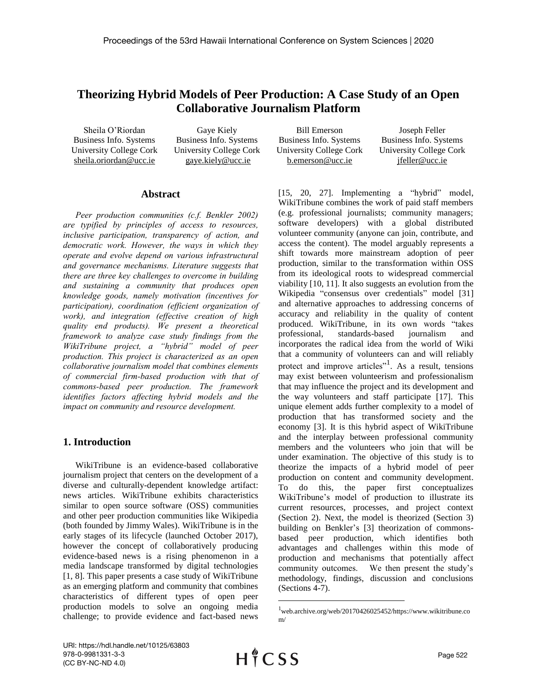# **Theorizing Hybrid Models of Peer Production: A Case Study of an Open Collaborative Journalism Platform**

Sheila O'Riordan Business Info. Systems University College Cork [sheila.oriordan@ucc.ie](mailto:sheila.oriordan@ucc.ie)

Gaye Kiely Business Info. Systems University College Cork gaye.kiely@ucc.ie

Bill Emerson Business Info. Systems University College Cork [b.emerson@ucc.ie](mailto:b.emerson@ucc.ie)

Joseph Feller Business Info. Systems University College Cork jfeller@ucc.ie

### **Abstract**

*Peer production communities (c.f. Benkler 2002) are typified by principles of access to resources, inclusive participation, transparency of action, and democratic work. However, the ways in which they operate and evolve depend on various infrastructural and governance mechanisms. Literature suggests that there are three key challenges to overcome in building and sustaining a community that produces open knowledge goods, namely motivation (incentives for participation), coordination (efficient organization of work), and integration (effective creation of high quality end products). We present a theoretical framework to analyze case study findings from the WikiTribune project, a "hybrid" model of peer production. This project is characterized as an open collaborative journalism model that combines elements of commercial firm-based production with that of commons-based peer production. The framework identifies factors affecting hybrid models and the impact on community and resource development.* 

### **1. Introduction**

WikiTribune is an evidence-based collaborative journalism project that centers on the development of a diverse and culturally-dependent knowledge artifact: news articles. WikiTribune exhibits characteristics similar to open source software (OSS) communities and other peer production communities like Wikipedia (both founded by Jimmy Wales). WikiTribune is in the early stages of its lifecycle (launched October 2017), however the concept of collaboratively producing evidence-based news is a rising phenomenon in a media landscape transformed by digital technologies [1, 8]. This paper presents a case study of WikiTribune as an emerging platform and community that combines characteristics of different types of open peer production models to solve an ongoing media challenge; to provide evidence and fact-based news

[15, 20, 27]. Implementing a "hybrid" model, WikiTribune combines the work of paid staff members (e.g. professional journalists; community managers; software developers) with a global distributed volunteer community (anyone can join, contribute, and access the content). The model arguably represents a shift towards more mainstream adoption of peer production, similar to the transformation within OSS from its ideological roots to widespread commercial viability [10, 11]. It also suggests an evolution from the Wikipedia "consensus over credentials" model [31] and alternative approaches to addressing concerns of accuracy and reliability in the quality of content produced. WikiTribune, in its own words "takes professional, standards-based journalism and incorporates the radical idea from the world of Wiki that a community of volunteers can and will reliably protect and improve articles<sup> $, 1$ </sup>. As a result, tensions may exist between volunteerism and professionalism that may influence the project and its development and the way volunteers and staff participate [17]. This unique element adds further complexity to a model of production that has transformed society and the economy [3]. It is this hybrid aspect of WikiTribune and the interplay between professional community members and the volunteers who join that will be under examination. The objective of this study is to theorize the impacts of a hybrid model of peer production on content and community development. To do this, the paper first conceptualizes WikiTribune's model of production to illustrate its current resources, processes, and project context (Section 2). Next, the model is theorized (Section 3) building on Benkler's [3] theorization of commonsbased peer production, which identifies both advantages and challenges within this mode of production and mechanisms that potentially affect community outcomes. We then present the study's methodology, findings, discussion and conclusions (Sections 4-7).

URI: https://hdl.handle.net/10125/63803 978-0-9981331-3-3 (CC BY-NC-ND 4.0)

 $\overline{a}$ 

<sup>1</sup>web.archive.org/web/20170426025452/https://www.wikitribune.co m/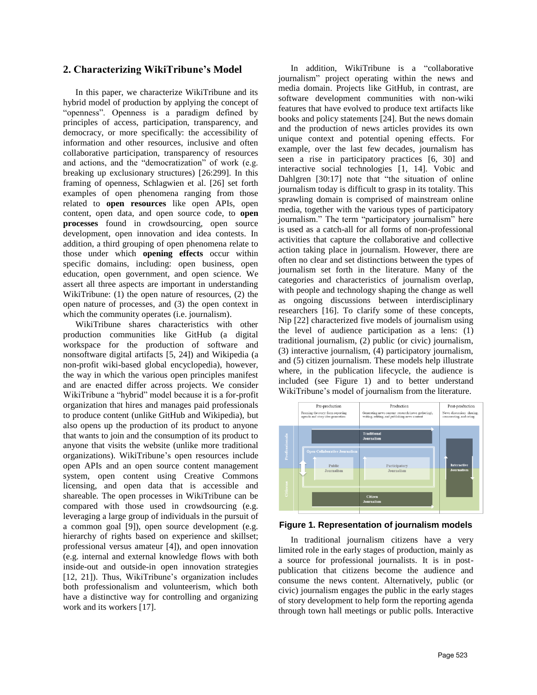### **2. Characterizing WikiTribune's Model**

In this paper, we characterize WikiTribune and its hybrid model of production by applying the concept of "openness". Openness is a paradigm defined by principles of access, participation, transparency, and democracy, or more specifically: the accessibility of information and other resources, inclusive and often collaborative participation, transparency of resources and actions, and the "democratization" of work (e.g. breaking up exclusionary structures) [26:299]. In this framing of openness, Schlagwien et al. [26] set forth examples of open phenomena ranging from those related to **open resources** like open APIs, open content, open data, and open source code, to **open processes** found in crowdsourcing, open source development, open innovation and idea contests. In addition, a third grouping of open phenomena relate to those under which **opening effects** occur within specific domains, including: open business, open education, open government, and open science. We assert all three aspects are important in understanding WikiTribune: (1) the open nature of resources, (2) the open nature of processes, and (3) the open context in which the community operates (i.e. journalism).

WikiTribune shares characteristics with other production communities like GitHub (a digital workspace for the production of software and nonsoftware digital artifacts [5, 24]) and Wikipedia (a non-profit wiki-based global encyclopedia), however, the way in which the various open principles manifest and are enacted differ across projects. We consider WikiTribune a "hybrid" model because it is a for-profit organization that hires and manages paid professionals to produce content (unlike GitHub and Wikipedia), but also opens up the production of its product to anyone that wants to join and the consumption of its product to anyone that visits the website (unlike more traditional organizations). WikiTribune's open resources include open APIs and an open source content management system, open content using Creative Commons licensing, and open data that is accessible and shareable. The open processes in WikiTribune can be compared with those used in crowdsourcing (e.g. leveraging a large group of individuals in the pursuit of a common goal [9]), open source development (e.g. hierarchy of rights based on experience and skillset; professional versus amateur [4]), and open innovation (e.g. internal and external knowledge flows with both inside-out and outside-in open innovation strategies [12, 21]). Thus, WikiTribune's organization includes both professionalism and volunteerism, which both have a distinctive way for controlling and organizing work and its workers [17].

In addition, WikiTribune is a "collaborative journalism" project operating within the news and media domain. Projects like GitHub, in contrast, are software development communities with non-wiki features that have evolved to produce text artifacts like books and policy statements [24]. But the news domain and the production of news articles provides its own unique context and potential opening effects. For example, over the last few decades, journalism has seen a rise in participatory practices [6, 30] and interactive social technologies [1, 14]. Vobic and Dahlgren [30:17] note that "the situation of online journalism today is difficult to grasp in its totality. This sprawling domain is comprised of mainstream online media, together with the various types of participatory journalism." The term "participatory journalism" here is used as a catch-all for all forms of non-professional activities that capture the collaborative and collective action taking place in journalism. However, there are often no clear and set distinctions between the types of journalism set forth in the literature. Many of the categories and characteristics of journalism overlap, with people and technology shaping the change as well as ongoing discussions between interdisciplinary researchers [16]. To clarify some of these concepts, Nip [22] characterized five models of journalism using the level of audience participation as a lens: (1) traditional journalism, (2) public (or civic) journalism, (3) interactive journalism, (4) participatory journalism, and (5) citizen journalism. These models help illustrate where, in the publication lifecycle, the audience is included (see [Figure 1\)](#page-1-0) and to better understand WikiTribune's model of journalism from the literature.



#### <span id="page-1-0"></span>**Figure 1. Representation of journalism models**

In traditional journalism citizens have a very limited role in the early stages of production, mainly as a source for professional journalists. It is in postpublication that citizens become the audience and consume the news content. Alternatively, public (or civic) journalism engages the public in the early stages of story development to help form the reporting agenda through town hall meetings or public polls. Interactive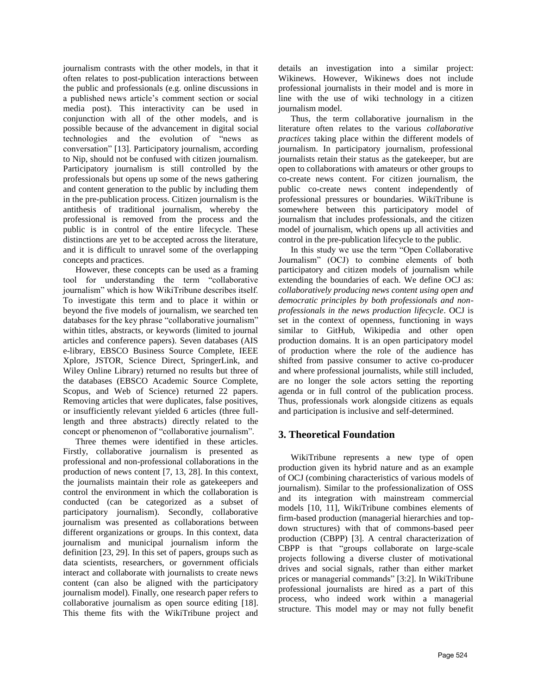journalism contrasts with the other models, in that it often relates to post-publication interactions between the public and professionals (e.g. online discussions in a published news article's comment section or social media post). This interactivity can be used in conjunction with all of the other models, and is possible because of the advancement in digital social technologies and the evolution of "news as conversation" [13]. Participatory journalism, according to Nip, should not be confused with citizen journalism. Participatory journalism is still controlled by the professionals but opens up some of the news gathering and content generation to the public by including them in the pre-publication process. Citizen journalism is the antithesis of traditional journalism, whereby the professional is removed from the process and the public is in control of the entire lifecycle. These distinctions are yet to be accepted across the literature, and it is difficult to unravel some of the overlapping concepts and practices.

However, these concepts can be used as a framing tool for understanding the term "collaborative journalism" which is how WikiTribune describes itself. To investigate this term and to place it within or beyond the five models of journalism, we searched ten databases for the key phrase "collaborative journalism" within titles, abstracts, or keywords (limited to journal articles and conference papers). Seven databases (AIS e-library, EBSCO Business Source Complete, IEEE Xplore, JSTOR, Science Direct, SpringerLink, and Wiley Online Library) returned no results but three of the databases (EBSCO Academic Source Complete, Scopus, and Web of Science) returned 22 papers. Removing articles that were duplicates, false positives, or insufficiently relevant yielded 6 articles (three fulllength and three abstracts) directly related to the concept or phenomenon of "collaborative journalism".

Three themes were identified in these articles. Firstly, collaborative journalism is presented as professional and non-professional collaborations in the production of news content [7, 13, 28]. In this context, the journalists maintain their role as gatekeepers and control the environment in which the collaboration is conducted (can be categorized as a subset of participatory journalism). Secondly, collaborative journalism was presented as collaborations between different organizations or groups. In this context, data journalism and municipal journalism inform the definition [23, 29]. In this set of papers, groups such as data scientists, researchers, or government officials interact and collaborate with journalists to create news content (can also be aligned with the participatory journalism model). Finally, one research paper refers to collaborative journalism as open source editing [18]. This theme fits with the WikiTribune project and details an investigation into a similar project: Wikinews. However, Wikinews does not include professional journalists in their model and is more in line with the use of wiki technology in a citizen journalism model.

Thus, the term collaborative journalism in the literature often relates to the various *collaborative practices* taking place within the different models of journalism. In participatory journalism, professional journalists retain their status as the gatekeeper, but are open to collaborations with amateurs or other groups to co-create news content. For citizen journalism, the public co-create news content independently of professional pressures or boundaries. WikiTribune is somewhere between this participatory model of journalism that includes professionals, and the citizen model of journalism, which opens up all activities and control in the pre-publication lifecycle to the public.

In this study we use the term "Open Collaborative Journalism" (OCJ) to combine elements of both participatory and citizen models of journalism while extending the boundaries of each. We define OCJ as: *collaboratively producing news content using open and democratic principles by both professionals and nonprofessionals in the news production lifecycle*. OCJ is set in the context of openness, functioning in ways similar to GitHub, Wikipedia and other open production domains. It is an open participatory model of production where the role of the audience has shifted from passive consumer to active co-producer and where professional journalists, while still included, are no longer the sole actors setting the reporting agenda or in full control of the publication process. Thus, professionals work alongside citizens as equals and participation is inclusive and self-determined.

# **3. Theoretical Foundation**

WikiTribune represents a new type of open production given its hybrid nature and as an example of OCJ (combining characteristics of various models of journalism). Similar to the professionalization of OSS and its integration with mainstream commercial models [10, 11], WikiTribune combines elements of firm-based production (managerial hierarchies and topdown structures) with that of commons-based peer production (CBPP) [3]. A central characterization of CBPP is that "groups collaborate on large-scale projects following a diverse cluster of motivational drives and social signals, rather than either market prices or managerial commands" [3:2]. In WikiTribune professional journalists are hired as a part of this process, who indeed work within a managerial structure. This model may or may not fully benefit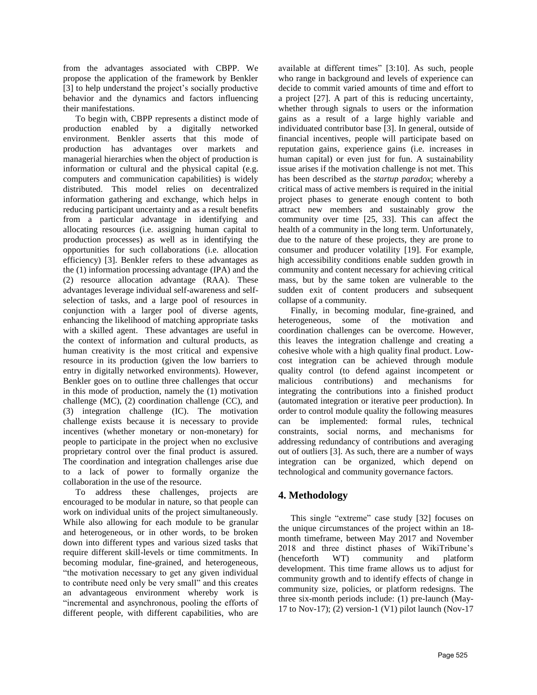from the advantages associated with CBPP. We propose the application of the framework by Benkler [3] to help understand the project's socially productive behavior and the dynamics and factors influencing their manifestations.

To begin with, CBPP represents a distinct mode of production enabled by a digitally networked environment. Benkler asserts that this mode of production has advantages over markets and managerial hierarchies when the object of production is information or cultural and the physical capital (e.g. computers and communication capabilities) is widely distributed. This model relies on decentralized information gathering and exchange, which helps in reducing participant uncertainty and as a result benefits from a particular advantage in identifying and allocating resources (i.e. assigning human capital to production processes) as well as in identifying the opportunities for such collaborations (i.e. allocation efficiency) [3]. Benkler refers to these advantages as the (1) information processing advantage (IPA) and the (2) resource allocation advantage (RAA). These advantages leverage individual self-awareness and selfselection of tasks, and a large pool of resources in conjunction with a larger pool of diverse agents, enhancing the likelihood of matching appropriate tasks with a skilled agent. These advantages are useful in the context of information and cultural products, as human creativity is the most critical and expensive resource in its production (given the low barriers to entry in digitally networked environments). However, Benkler goes on to outline three challenges that occur in this mode of production, namely the (1) motivation challenge (MC), (2) coordination challenge (CC), and (3) integration challenge (IC). The motivation challenge exists because it is necessary to provide incentives (whether monetary or non-monetary) for people to participate in the project when no exclusive proprietary control over the final product is assured. The coordination and integration challenges arise due to a lack of power to formally organize the collaboration in the use of the resource.

To address these challenges, projects are encouraged to be modular in nature, so that people can work on individual units of the project simultaneously. While also allowing for each module to be granular and heterogeneous, or in other words, to be broken down into different types and various sized tasks that require different skill-levels or time commitments. In becoming modular, fine-grained, and heterogeneous, "the motivation necessary to get any given individual to contribute need only be very small" and this creates an advantageous environment whereby work is "incremental and asynchronous, pooling the efforts of different people, with different capabilities, who are

available at different times" [3:10]. As such, people who range in background and levels of experience can decide to commit varied amounts of time and effort to a project [27]. A part of this is reducing uncertainty, whether through signals to users or the information gains as a result of a large highly variable and individuated contributor base [3]. In general, outside of financial incentives, people will participate based on reputation gains, experience gains (i.e. increases in human capital) or even just for fun. A sustainability issue arises if the motivation challenge is not met. This has been described as the *startup paradox*; whereby a critical mass of active members is required in the initial project phases to generate enough content to both attract new members and sustainably grow the community over time [25, 33]. This can affect the health of a community in the long term. Unfortunately, due to the nature of these projects, they are prone to consumer and producer volatility [19]. For example, high accessibility conditions enable sudden growth in community and content necessary for achieving critical mass, but by the same token are vulnerable to the sudden exit of content producers and subsequent collapse of a community.

Finally, in becoming modular, fine-grained, and heterogeneous, some of the motivation and coordination challenges can be overcome. However, this leaves the integration challenge and creating a cohesive whole with a high quality final product. Lowcost integration can be achieved through module quality control (to defend against incompetent or malicious contributions) and mechanisms for integrating the contributions into a finished product (automated integration or iterative peer production). In order to control module quality the following measures can be implemented: formal rules, technical constraints, social norms, and mechanisms for addressing redundancy of contributions and averaging out of outliers [3]. As such, there are a number of ways integration can be organized, which depend on technological and community governance factors.

# **4. Methodology**

This single "extreme" case study [32] focuses on the unique circumstances of the project within an 18 month timeframe, between May 2017 and November 2018 and three distinct phases of WikiTribune's (henceforth WT) community and platform development. This time frame allows us to adjust for community growth and to identify effects of change in community size, policies, or platform redesigns. The three six-month periods include: (1) pre-launch (May-17 to Nov-17); (2) version-1 (V1) pilot launch (Nov-17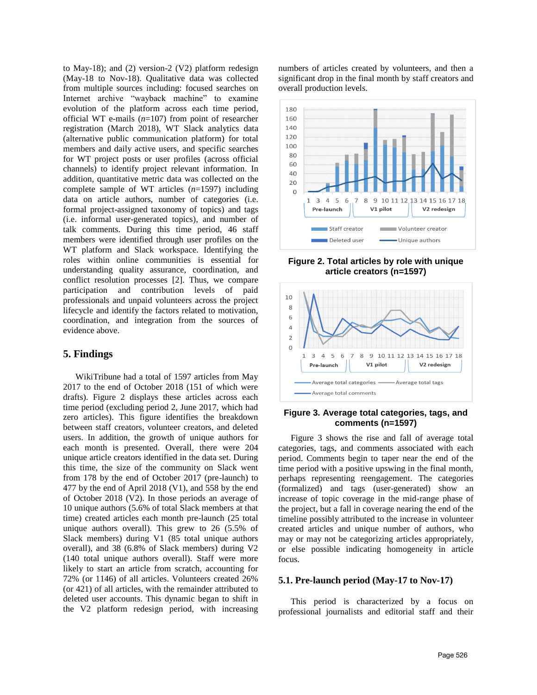to May-18); and (2) version-2 (V2) platform redesign (May-18 to Nov-18). Qualitative data was collected from multiple sources including: focused searches on Internet archive "wayback machine" to examine evolution of the platform across each time period, official WT e-mails (*n*=107) from point of researcher registration (March 2018), WT Slack analytics data (alternative public communication platform) for total members and daily active users, and specific searches for WT project posts or user profiles (across official channels) to identify project relevant information. In addition, quantitative metric data was collected on the complete sample of WT articles (*n*=1597) including data on article authors, number of categories (i.e. formal project-assigned taxonomy of topics) and tags (i.e. informal user-generated topics), and number of talk comments. During this time period, 46 staff members were identified through user profiles on the WT platform and Slack workspace. Identifying the roles within online communities is essential for understanding quality assurance, coordination, and conflict resolution processes [2]. Thus, we compare participation and contribution levels of paid professionals and unpaid volunteers across the project lifecycle and identify the factors related to motivation, coordination, and integration from the sources of evidence above.

### **5. Findings**

WikiTribune had a total of 1597 articles from May 2017 to the end of October 2018 (151 of which were drafts). [Figure 2](#page-4-0) displays these articles across each time period (excluding period 2, June 2017, which had zero articles). This figure identifies the breakdown between staff creators, volunteer creators, and deleted users. In addition, the growth of unique authors for each month is presented. Overall, there were 204 unique article creators identified in the data set. During this time, the size of the community on Slack went from 178 by the end of October 2017 (pre-launch) to 477 by the end of April 2018 (V1), and 558 by the end of October 2018 (V2). In those periods an average of 10 unique authors (5.6% of total Slack members at that time) created articles each month pre-launch (25 total unique authors overall). This grew to 26 (5.5% of Slack members) during V1 (85 total unique authors overall), and 38 (6.8% of Slack members) during V2 (140 total unique authors overall). Staff were more likely to start an article from scratch, accounting for 72% (or 1146) of all articles. Volunteers created 26% (or 421) of all articles, with the remainder attributed to deleted user accounts. This dynamic began to shift in the V2 platform redesign period, with increasing numbers of articles created by volunteers, and then a significant drop in the final month by staff creators and overall production levels.



<span id="page-4-0"></span>**Figure 2. Total articles by role with unique article creators (n=1597)**



#### <span id="page-4-1"></span>**Figure 3. Average total categories, tags, and comments (n=1597)**

[Figure 3](#page-4-1) shows the rise and fall of average total categories, tags, and comments associated with each period. Comments begin to taper near the end of the time period with a positive upswing in the final month, perhaps representing reengagement. The categories (formalized) and tags (user-generated) show an increase of topic coverage in the mid-range phase of the project, but a fall in coverage nearing the end of the timeline possibly attributed to the increase in volunteer created articles and unique number of authors, who may or may not be categorizing articles appropriately, or else possible indicating homogeneity in article focus.

#### **5.1. Pre-launch period (May-17 to Nov-17)**

This period is characterized by a focus on professional journalists and editorial staff and their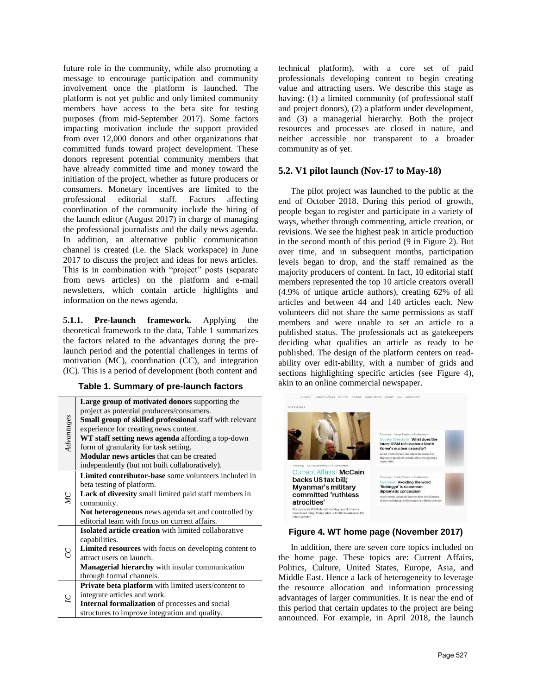future role in the community, while also promoting a message to encourage participation and community involvement once the platform is launched. The platform is not yet public and only limited community members have access to the beta site for testing purposes (from mid-September 2017). Some factors impacting motivation include the support provided from over 12,000 donors and other organizations that committed funds toward project development. These donors represent potential community members that have already committed time and money toward the initiation of the project, whether as future producers or consumers. Monetary incentives are limited to the professional editorial staff. Factors affecting coordination of the community include the hiring of the launch editor (August 2017) in charge of managing the professional journalists and the daily news agenda. In addition, an alternative public communication channel is created (i.e. the Slack workspace) in June 2017 to discuss the project and ideas for news articles. This is in combination with "project" posts (separate from news articles) on the platform and e-mail newsletters, which contain article highlights and information on the news agenda.

**5.1.1. Pre-launch framework.** Applying the theoretical framework to the data, [Table 1](#page-5-0) summarizes the factors related to the advantages during the prelaunch period and the potential challenges in terms of motivation (MC), coordination (CC), and integration (IC). This is a period of development (both content and

**Table 1. Summary of pre-launch factors**

<span id="page-5-0"></span>

| Advantages | Large group of motivated donors supporting the               |
|------------|--------------------------------------------------------------|
|            | project as potential producers/consumers.                    |
|            | Small group of skilled professional staff with relevant      |
|            | experience for creating news content.                        |
|            | WT staff setting news agenda affording a top-down            |
|            | form of granularity for task setting.                        |
|            | Modular news articles that can be created                    |
|            | independently (but not built collaboratively).               |
|            | Limited contributor-base some volunteers included in         |
|            | beta testing of platform.                                    |
|            | <b>Lack of diversity</b> small limited paid staff members in |
| ЙC         | community.                                                   |
|            | Not heterogeneous news agenda set and controlled by          |
|            | editorial team with focus on current affairs.                |
|            | Isolated article creation with limited collaborative         |
|            | capabilities.                                                |
| 50         | <b>Limited resources</b> with focus on developing content to |
|            | attract users on launch.                                     |
|            | Managerial hierarchy with insular communication              |
|            | through formal channels.                                     |
|            | Private beta platform with limited users/content to          |
|            | integrate articles and work.                                 |
|            | <b>Internal formalization</b> of processes and social        |
|            | structures to improve integration and quality.               |

technical platform), with a core set of paid professionals developing content to begin creating value and attracting users. We describe this stage as having: (1) a limited community (of professional staff and project donors), (2) a platform under development, and (3) a managerial hierarchy. Both the project resources and processes are closed in nature, and neither accessible nor transparent to a broader community as of yet.

## **5.2. V1 pilot launch (Nov-17 to May-18)**

The pilot project was launched to the public at the end of October 2018. During this period of growth, people began to register and participate in a variety of ways, whether through commenting, article creation, or revisions. We see the highest peak in article production in the second month of this period (9 in [Figure 2\)](#page-4-0). But over time, and in subsequent months, participation levels began to drop, and the staff remained as the majority producers of content. In fact, 10 editorial staff members represented the top 10 article creators overall (4.9% of unique article authors), creating 62% of all articles and between 44 and 140 articles each. New volunteers did not share the same permissions as staff members and were unable to set an article to a published status. The professionals act as gatekeepers deciding what qualifies an article as ready to be published. The design of the platform centers on readability over edit-ability, with a number of grids and sections highlighting specific articles (see [Figure 4\)](#page-5-1), akin to an online commercial newspaper.



## <span id="page-5-1"></span>**Figure 4. WT home page (November 2017)**

In addition, there are seven core topics included on the home page. These topics are: Current Affairs, Politics, Culture, United States, Europe, Asia, and Middle East. Hence a lack of heterogeneity to leverage the resource allocation and information processing advantages of larger communities. It is near the end of this period that certain updates to the project are being announced. For example, in April 2018, the launch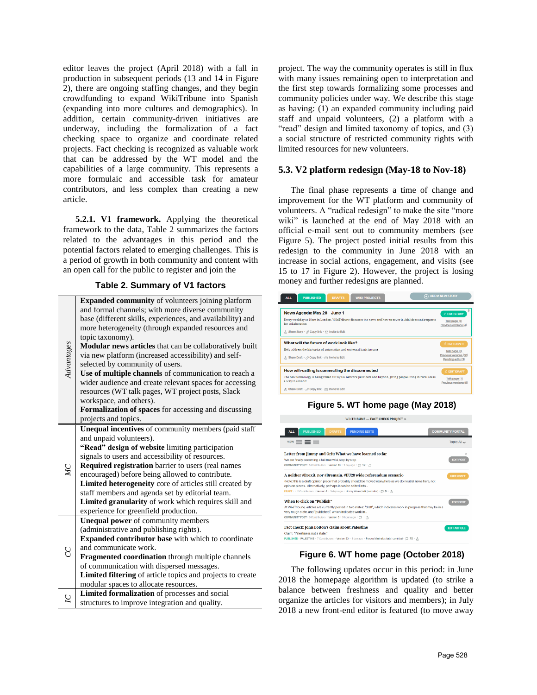editor leaves the project (April 2018) with a fall in production in subsequent periods (13 and 14 in [Figure](#page-4-0)  [2\)](#page-4-0), there are ongoing staffing changes, and they begin crowdfunding to expand WikiTribune into Spanish (expanding into more cultures and demographics). In addition, certain community-driven initiatives are underway, including the formalization of a fact checking space to organize and coordinate related projects. Fact checking is recognized as valuable work that can be addressed by the WT model and the capabilities of a large community. This represents a more formulaic and accessible task for amateur contributors, and less complex than creating a new article.

**5.2.1. V1 framework.** Applying the theoretical framework to the data, [Table 2](#page-6-0) summarizes the factors related to the advantages in this period and the potential factors related to emerging challenges. This is a period of growth in both community and content with an open call for the public to register and join the

#### **Table 2. Summary of V1 factors**

<span id="page-6-0"></span>

| Advantages | <b>Expanded community</b> of volunteers joining platform<br>and formal channels; with more diverse community<br>base (different skills, experiences, and availability) and<br>more heterogeneity (through expanded resources and<br>topic taxonomy).<br>Modular news articles that can be collaboratively built<br>via new platform (increased accessibility) and self-<br>selected by community of users.<br>Use of multiple channels of communication to reach a<br>wider audience and create relevant spaces for accessing<br>resources (WT talk pages, WT project posts, Slack<br>workspace, and others).<br>Formalization of spaces for accessing and discussing<br>projects and topics.<br>Unequal incentives of community members (paid staff |
|------------|------------------------------------------------------------------------------------------------------------------------------------------------------------------------------------------------------------------------------------------------------------------------------------------------------------------------------------------------------------------------------------------------------------------------------------------------------------------------------------------------------------------------------------------------------------------------------------------------------------------------------------------------------------------------------------------------------------------------------------------------------|
|            | and unpaid volunteers).                                                                                                                                                                                                                                                                                                                                                                                                                                                                                                                                                                                                                                                                                                                              |
|            | "Read" design of website limiting participation                                                                                                                                                                                                                                                                                                                                                                                                                                                                                                                                                                                                                                                                                                      |
|            | signals to users and accessibility of resources.                                                                                                                                                                                                                                                                                                                                                                                                                                                                                                                                                                                                                                                                                                     |
| ЙC         | <b>Required registration</b> barrier to users (real names                                                                                                                                                                                                                                                                                                                                                                                                                                                                                                                                                                                                                                                                                            |
|            | encouraged) before being allowed to contribute.                                                                                                                                                                                                                                                                                                                                                                                                                                                                                                                                                                                                                                                                                                      |
|            | Limited heterogeneity core of articles still created by                                                                                                                                                                                                                                                                                                                                                                                                                                                                                                                                                                                                                                                                                              |
|            | staff members and agenda set by editorial team.                                                                                                                                                                                                                                                                                                                                                                                                                                                                                                                                                                                                                                                                                                      |
|            | Limited granularity of work which requires skill and                                                                                                                                                                                                                                                                                                                                                                                                                                                                                                                                                                                                                                                                                                 |
|            | experience for greenfield production.                                                                                                                                                                                                                                                                                                                                                                                                                                                                                                                                                                                                                                                                                                                |
|            | <b>Unequal power</b> of community members                                                                                                                                                                                                                                                                                                                                                                                                                                                                                                                                                                                                                                                                                                            |
|            | (administrative and publishing rights).                                                                                                                                                                                                                                                                                                                                                                                                                                                                                                                                                                                                                                                                                                              |
|            | <b>Expanded contributor base</b> with which to coordinate                                                                                                                                                                                                                                                                                                                                                                                                                                                                                                                                                                                                                                                                                            |
| 9          | and communicate work.                                                                                                                                                                                                                                                                                                                                                                                                                                                                                                                                                                                                                                                                                                                                |
|            | Fragmented coordination through multiple channels                                                                                                                                                                                                                                                                                                                                                                                                                                                                                                                                                                                                                                                                                                    |
|            | of communication with dispersed messages.                                                                                                                                                                                                                                                                                                                                                                                                                                                                                                                                                                                                                                                                                                            |
|            | Limited filtering of article topics and projects to create                                                                                                                                                                                                                                                                                                                                                                                                                                                                                                                                                                                                                                                                                           |
|            | modular spaces to allocate resources.                                                                                                                                                                                                                                                                                                                                                                                                                                                                                                                                                                                                                                                                                                                |
|            | Limited formalization of processes and social<br>structures to improve integration and quality.                                                                                                                                                                                                                                                                                                                                                                                                                                                                                                                                                                                                                                                      |
|            |                                                                                                                                                                                                                                                                                                                                                                                                                                                                                                                                                                                                                                                                                                                                                      |

project. The way the community operates is still in flux with many issues remaining open to interpretation and the first step towards formalizing some processes and community policies under way. We describe this stage as having: (1) an expanded community including paid staff and unpaid volunteers, (2) a platform with a "read" design and limited taxonomy of topics, and (3) a social structure of restricted community rights with limited resources for new volunteers.

### **5.3. V2 platform redesign (May-18 to Nov-18)**

The final phase represents a time of change and improvement for the WT platform and community of volunteers. A "radical redesign" to make the site "more wiki" is launched at the end of May 2018 with an official e-mail sent out to community members (see [Figure 5\)](#page-6-1). The project posted initial results from this redesign to the community in June 2018 with an increase in social actions, engagement, and visits (see 15 to 17 in [Figure 2\)](#page-4-0). However, the project is losing money and further redesigns are planned.



## **Figure 5. WT home page (May 2018)**

<span id="page-6-1"></span>WikiTRIBUNE - FACT CHECK PROJECT »  $ALL$  $V$  REV  $\equiv \equiv \equiv$ Letter from Jimmy and Orit: What we have learned so far We are finally becoming a full true wiki, step by step COMMUNITY POST · 5 Contributors · Version 13 · 1 day ago · (2) 12 · .f. A neither #Brexit, nor #Bremain, #EU28 wide referendum scenario .<br>Note: this is a draft opinion piece that probably should be moved elsewhere as we do ne opinion pieces. Alternatively, perhaps it can be edited into... talk | contribs)  $\cdot$   $\Box$  5  $\cdot$   $\uparrow$ When to click on "Publish" vila Tribune, articles are currently posted in two states: "draft", which indicates work in progress that may<br>rough state, and "published", which indicates work in...<br>tMUNITY POST - 3 Commons - Version 3 - 3 hours ago - [ Fact check: John Bolton's claim about Palestine Claim: "Palestine is not a state."<br>PUBLISHED - PALESTINE - 7 Contribi ors + Version 23 + 1 day ago + Prodos Marinakis (talk | contribs) + □ 75 + <sub>(1)</sub>

### **Figure 6. WT home page (October 2018)**

<span id="page-6-2"></span>The following updates occur in this period: in June 2018 the homepage algorithm is updated (to strike a balance between freshness and quality and better organize the articles for visitors and members); in July 2018 a new front-end editor is featured (to move away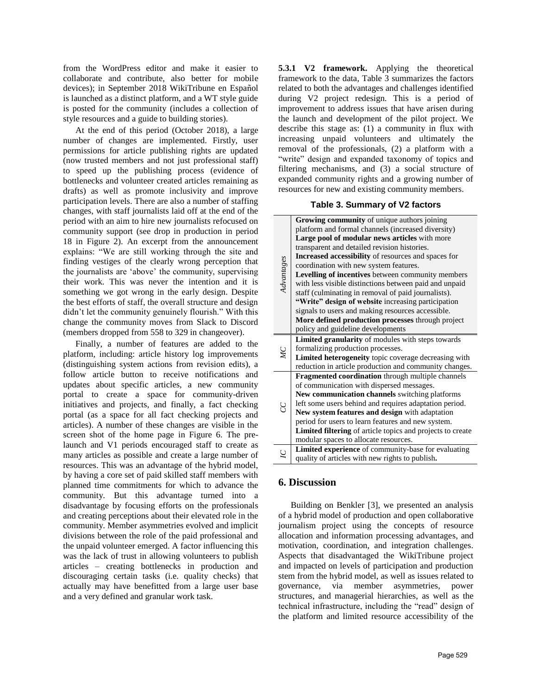from the WordPress editor and make it easier to collaborate and contribute, also better for mobile devices); in September 2018 WikiTribune en Español is launched as a distinct platform, and a WT style guide is posted for the community (includes a collection of style resources and a guide to building stories).

At the end of this period (October 2018), a large number of changes are implemented. Firstly, user permissions for article publishing rights are updated (now trusted members and not just professional staff) to speed up the publishing process (evidence of bottlenecks and volunteer created articles remaining as drafts) as well as promote inclusivity and improve participation levels. There are also a number of staffing changes, with staff journalists laid off at the end of the period with an aim to hire new journalists refocused on community support (see drop in production in period 18 in [Figure 2\)](#page-4-0). An excerpt from the announcement explains: "We are still working through the site and finding vestiges of the clearly wrong perception that the journalists are 'above' the community, supervising their work. This was never the intention and it is something we got wrong in the early design. Despite the best efforts of staff, the overall structure and design didn't let the community genuinely flourish." With this change the community moves from Slack to Discord (members dropped from 558 to 329 in changeover).

Finally, a number of features are added to the platform, including: article history log improvements (distinguishing system actions from revision edits), a follow article button to receive notifications and updates about specific articles, a new community portal to create a space for community-driven initiatives and projects, and finally, a fact checking portal (as a space for all fact checking projects and articles). A number of these changes are visible in the screen shot of the home page in [Figure 6.](#page-6-2) The prelaunch and V1 periods encouraged staff to create as many articles as possible and create a large number of resources. This was an advantage of the hybrid model, by having a core set of paid skilled staff members with planned time commitments for which to advance the community. But this advantage turned into a disadvantage by focusing efforts on the professionals and creating perceptions about their elevated role in the community. Member asymmetries evolved and implicit divisions between the role of the paid professional and the unpaid volunteer emerged. A factor influencing this was the lack of trust in allowing volunteers to publish articles – creating bottlenecks in production and discouraging certain tasks (i.e. quality checks) that actually may have benefitted from a large user base and a very defined and granular work task.

**5.3.1 V2 framework.** Applying the theoretical framework to the data, [Table 3](#page-7-0) summarizes the factors related to both the advantages and challenges identified during V2 project redesign. This is a period of improvement to address issues that have arisen during the launch and development of the pilot project. We describe this stage as: (1) a community in flux with increasing unpaid volunteers and ultimately the removal of the professionals, (2) a platform with a "write" design and expanded taxonomy of topics and filtering mechanisms, and (3) a social structure of expanded community rights and a growing number of resources for new and existing community members.

### **Table 3. Summary of V2 factors**

<span id="page-7-0"></span>

|            | <b>Growing community</b> of unique authors joining         |  |
|------------|------------------------------------------------------------|--|
| Advantages | platform and formal channels (increased diversity)         |  |
|            | Large pool of modular news articles with more              |  |
|            | transparent and detailed revision histories.               |  |
|            | Increased accessibility of resources and spaces for        |  |
|            | coordination with new system features.                     |  |
|            | Levelling of incentives between community members          |  |
|            | with less visible distinctions between paid and unpaid     |  |
|            | staff (culminating in removal of paid journalists).        |  |
|            | "Write" design of website increasing participation         |  |
|            | signals to users and making resources accessible.          |  |
|            | More defined production processes through project          |  |
|            | policy and guideline developments                          |  |
| ЙC         | Limited granularity of modules with steps towards          |  |
|            | formalizing production processes.                          |  |
|            | Limited heterogeneity topic coverage decreasing with       |  |
|            | reduction in article production and community changes.     |  |
|            | Fragmented coordination through multiple channels          |  |
| S          | of communication with dispersed messages.                  |  |
|            | New communication channels switching platforms             |  |
|            | left some users behind and requires adaptation period.     |  |
|            | New system features and design with adaptation             |  |
|            | period for users to learn features and new system.         |  |
|            | Limited filtering of article topics and projects to create |  |
|            | modular spaces to allocate resources.                      |  |
| 5          | Limited experience of community-base for evaluating        |  |
|            | quality of articles with new rights to publish.            |  |

## **6. Discussion**

Building on Benkler [3], we presented an analysis of a hybrid model of production and open collaborative journalism project using the concepts of resource allocation and information processing advantages, and motivation, coordination, and integration challenges. Aspects that disadvantaged the WikiTribune project and impacted on levels of participation and production stem from the hybrid model, as well as issues related to governance, via member asymmetries, power structures, and managerial hierarchies, as well as the technical infrastructure, including the "read" design of the platform and limited resource accessibility of the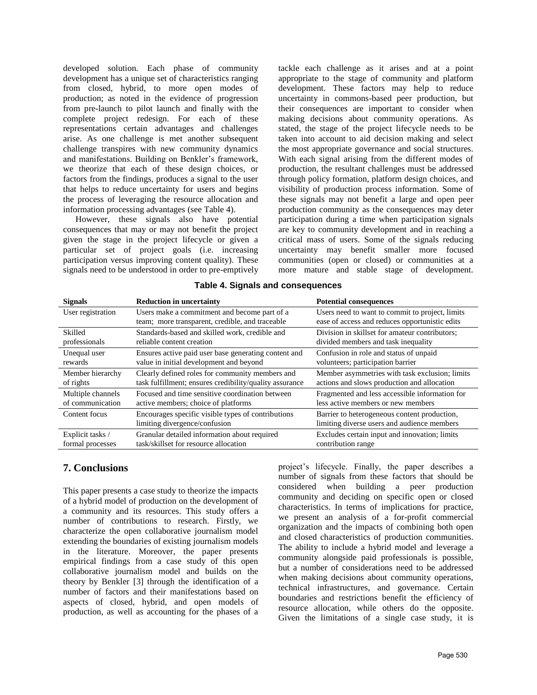developed solution. Each phase of community development has a unique set of characteristics ranging from closed, hybrid, to more open modes of production; as noted in the evidence of progression from pre-launch to pilot launch and finally with the complete project redesign. For each of these representations certain advantages and challenges arise. As one challenge is met another subsequent challenge transpires with new community dynamics and manifestations. Building on Benkler's framework, we theorize that each of these design choices, or factors from the findings, produces a signal to the user that helps to reduce uncertainty for users and begins the process of leveraging the resource allocation and information processing advantages (se[e Table 4\)](#page-8-0).

However, these signals also have potential consequences that may or may not benefit the project given the stage in the project lifecycle or given a particular set of project goals (i.e. increasing participation versus improving content quality). These signals need to be understood in order to pre-emptively tackle each challenge as it arises and at a point appropriate to the stage of community and platform development. These factors may help to reduce uncertainty in commons-based peer production, but their consequences are important to consider when making decisions about community operations. As stated, the stage of the project lifecycle needs to be taken into account to aid decision making and select the most appropriate governance and social structures. With each signal arising from the different modes of production, the resultant challenges must be addressed through policy formation, platform design choices, and visibility of production process information. Some of these signals may not benefit a large and open peer production community as the consequences may deter participation during a time when participation signals are key to community development and in reaching a critical mass of users. Some of the signals reducing uncertainty may benefit smaller more focused communities (open or closed) or communities at a more mature and stable stage of development.

<span id="page-8-0"></span>

| <b>Signals</b>    | <b>Reduction in uncertainty</b>                                                                 | <b>Potential consequences</b>                                                                     |
|-------------------|-------------------------------------------------------------------------------------------------|---------------------------------------------------------------------------------------------------|
| User registration | Users make a commitment and become part of a<br>team; more transparent, credible, and traceable | Users need to want to commit to project, limits<br>ease of access and reduces opportunistic edits |
| Skilled           | Standards-based and skilled work, credible and                                                  | Division in skillset for amateur contributors;                                                    |
| professionals     | reliable content creation                                                                       | divided members and task inequality                                                               |
| Unequal user      | Ensures active paid user base generating content and                                            | Confusion in role and status of unpaid                                                            |
| rewards           | value in initial development and beyond                                                         | volunteers; participation barrier                                                                 |
| Member hierarchy  | Clearly defined roles for community members and                                                 | Member asymmetries with task exclusion; limits                                                    |
| of rights         | task fulfillment; ensures credibility/quality assurance                                         | actions and slows production and allocation                                                       |
| Multiple channels | Focused and time sensitive coordination between                                                 | Fragmented and less accessible information for                                                    |
| of communication  | active members; choice of platforms                                                             | less active members or new members                                                                |
| Content focus     | Encourages specific visible types of contributions<br>limiting divergence/confusion             | Barrier to heterogeneous content production,<br>limiting diverse users and audience members       |
| Explicit tasks /  | Granular detailed information about required                                                    | Excludes certain input and innovation; limits                                                     |
| formal processes  | task/skillset for resource allocation                                                           | contribution range                                                                                |

#### **Table 4. Signals and consequences**

# **7. Conclusions**

This paper presents a case study to theorize the impacts of a hybrid model of production on the development of a community and its resources. This study offers a number of contributions to research. Firstly, we characterize the open collaborative journalism model extending the boundaries of existing journalism models in the literature. Moreover, the paper presents empirical findings from a case study of this open collaborative journalism model and builds on the theory by Benkler [3] through the identification of a number of factors and their manifestations based on aspects of closed, hybrid, and open models of production, as well as accounting for the phases of a project's lifecycle. Finally, the paper describes a number of signals from these factors that should be considered when building a peer production community and deciding on specific open or closed characteristics. In terms of implications for practice, we present an analysis of a for-profit commercial organization and the impacts of combining both open and closed characteristics of production communities. The ability to include a hybrid model and leverage a community alongside paid professionals is possible, but a number of considerations need to be addressed when making decisions about community operations, technical infrastructures, and governance. Certain boundaries and restrictions benefit the efficiency of resource allocation, while others do the opposite. Given the limitations of a single case study, it is